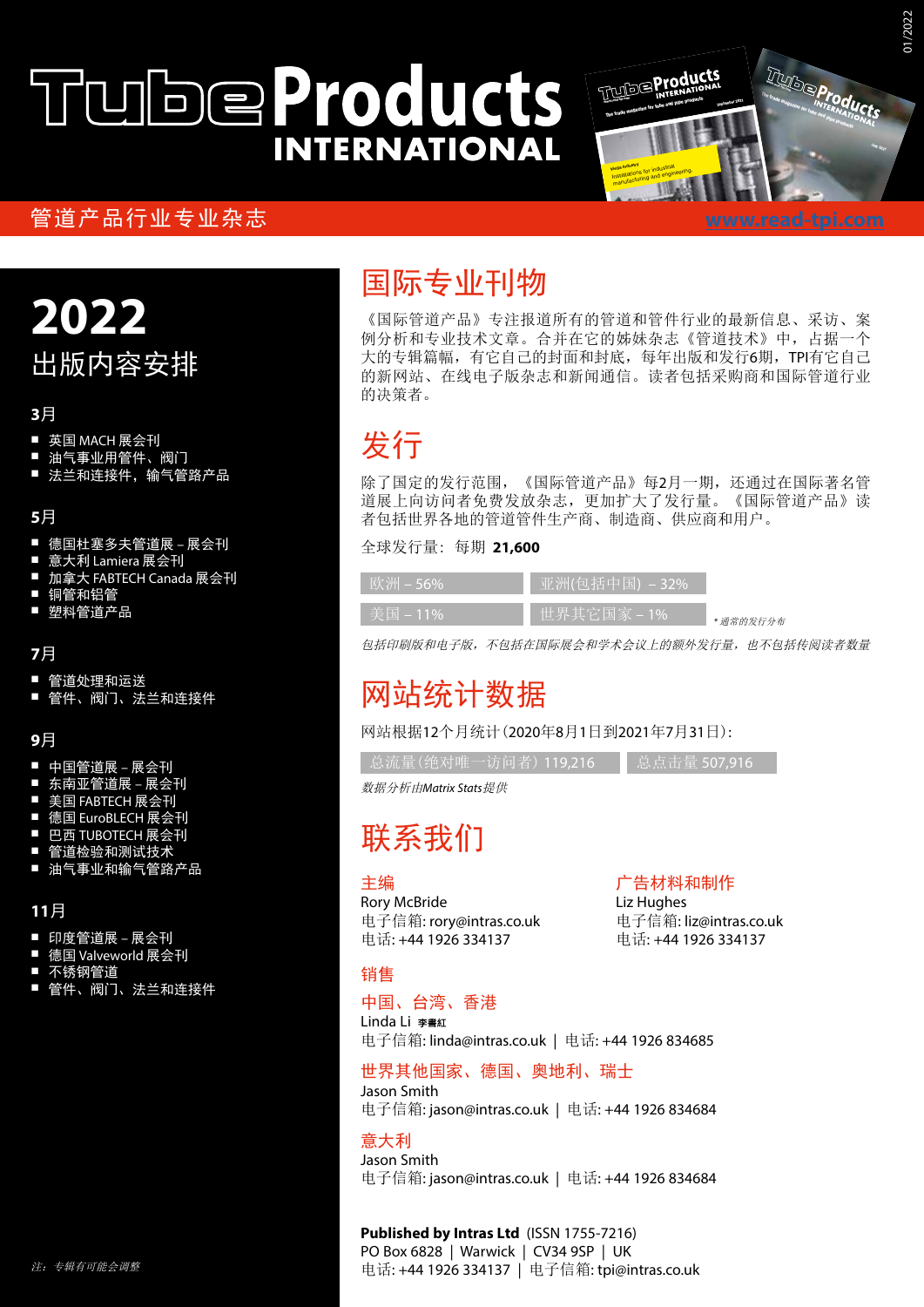# **WDeProducts INTERNATIONAL**

### $\hat{\mathcal{C}}$ 管道产品行业专业杂志

### The trade magazine for tube and pipe products July 2021 <u>www.read</u> <u>buttung is on</u> steels. Our core competences are in forming and The trade magazine for tube and pipe products September 2021 Viega Industry **Installations for industrial**<br>Installations for industrial installations for Indian<br>manufacturing and engineering. 01/2022

welding techniques and in materials engineering.

## **2022** 出版内容安排

### **3**月

- 英国 MACH 展会刊
- 油气事业用管件、阀门
- 法兰和连接件,输气管路产品

### **5**月

- 德国杜塞多夫管道展 展会刊
- 意大利 Lamiera 展会刊
- 加拿大 FABTECH Canada 展会刊
- 铜管和铝管
- 塑料管道产品

### **7**月

- 
- 管道处理和运送 管件、阀门、法兰和连接件

#### **9**月

- 中国管道展 展会刊
- 东南亚管道展 展会刊
- 美国 FABTECH 展会刊
- 德国 EuroBLECH 展会刊
- 巴西 TUBOTECH 展会刊 管道检验和测试技术
- ————————————<br><u>油气事业</u>和输气管路产品

#### **11**月

- 印度管道展 展会刊
- 德国 Valveworld 展会刊
- 不锈钢管道
- 管件、阀门、法兰和连接件

### 国际专业刊物

《国际管道产品》专注报道所有的管道和管件行业的最新信息、采访、案 例分析和专业技术文章。合并在它的姊妹杂志《管道技术》中,占据一个 大的专辑篇幅,有它自己的封面和封底,每年出版和发行6期, TPI有它自己 的新网站、在线电子版杂志和新闻通信。读者包括采购商和国际管道行业 的决策者。

### 发行

除了国定的发行范围,《国际管道产品》每2月一期,还通过在国际著名管 道展上向访问者免费发放杂志,更加扩大了发行量。《国际管道产品》读 者包括世界各地的管道管件生产商、制造商、供应商和用户。

全球发行量: 每期 **21,600**

| $EXX$ / $Y$ $Y$ $Y$ $-$ 56% | 亚洲(包括中国) – 32%」      |           |
|-----------------------------|----------------------|-----------|
| 美国-11%                      | <u> 世界</u> 其它国家 – 1% | * 通常的发行分布 |

包括印刷版和电子版,不包括在国际展会和学术会议上的额外发行量,也不包括传阅读者数量

### 网站统计数据

网站根据12个月统计(2020年8月1日到2021年7月31日):

| 总流量(绝对唯一访问者) 119.216 | 总点击量 507.916

数据分析由*Matrix Stats*提供

### 联系我们

### 主编

Rory McBride 电子信箱: rory@intras.co.uk 电话: +44 1926 334137

#### 广告材料和制作

Liz Hughes 电子信箱: liz@intras.co.uk 电话: +44 1926 334137

### 销售

### 中国、台湾、香港

Linda Li 电子信箱: linda@intras.co.uk | 电话: +44 1926 834685

### 世界其他国家、德国、奥地利、瑞士

Jason Smith 电子信箱: jason@intras.co.uk | 电话: +44 1926 834684

#### 意大利

Jason Smith 电子信箱: jason@intras.co.uk | 电话: +44 1926 834684

**Published by Intras Ltd** (ISSN 1755-7216) PO Box 6828 | Warwick | CV34 9SP | UK 电话: +44 1926 334137 | 电子信箱: tpi@intras.co.uk